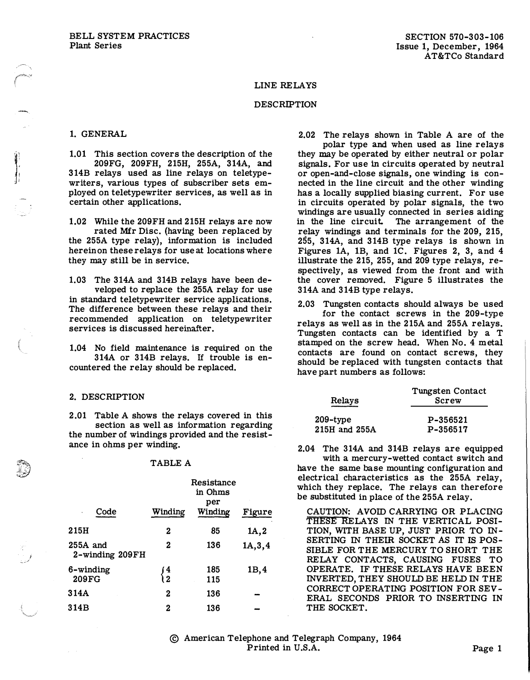## LINE RELAYS

## DESCRIPTION

### 1. GENERAL

1: Index 1: 1

i /

1.01 This section covers the description of the 209FG, 209FH, 215H, 255A, 314A, and 314B relays used as line relays on teletypewriters, various types of subscriber sets employed on teletypewriter services, as well as in certain other applications.

1.02 While the 209FH and 215H relays are now

rated Mfr Disc. (having been replaced by the 255A type relay), information is included herein on these relays for use at locations where they may still be in service.

1.03 The 314A and 314B relays have been developed to replace the 255A relay for use in standard teletypewriter service applications. The difference between these relays and their recommended application on teletypewriter services is discussed hereinafter.

1.04 No field maintenance is required on the 314A or 314B relays. If trouble is encountered the relay should be replaced.

#### 2. DESCRIPTION

2 .01 Table A shows the relays covered in this section as well as information regarding the number of windings provided and the resistance in ohms per winding.

### TABLE A

| Code                          | Winding       | Resistance<br>in Ohms<br>per<br>Winding | Figure   |
|-------------------------------|---------------|-----------------------------------------|----------|
| 215H                          | 2             | 85                                      | 1A,2     |
| $255A$ and<br>2-winding 209FH | 2             | 136                                     | 1A, 3, 4 |
| 6-winding                     | $\frac{4}{2}$ | 185                                     | 1B, 4    |
| 209FG                         |               | 115                                     |          |
| 314A                          | 2             | 136                                     |          |
| 314B                          | 2             | 136                                     |          |

2.02 The relays shown in Table A are of the

polar type and when used as line relays they may be operated by either neutral or polar signals. For use in circuits operated by neutral or open-and-close signals, one winding is connected in the line circuit and the other winding has a locally supplied biasing current. For use in circuits operated by polar signals, the two windings are usually connected in series aiding in the line circuit. The arrangement of the relay windings and terminals for the 209, 215, 255, 314A, and 314B type relays is shown in Figures 1A, 1B, and 1C. Figures 2, 3, and 4 illustrate the 215, 255, and 209 type relays, respectively, as viewed from the front and with the cover removed. Figure 5 illustrates the 314A and 314B type relays.

2.03 Tungsten contacts should always be used for the contact screws in the 209-type relays as well as in the 215A and 255A relays. Tungsten contacts can be identified by a T stamped on the screw head. When No. 4 m etal contacts are found on contact screws, they should be replaced with tungsten contacts that have part numbers as follows:

| Relays        | Tungsten Contact<br>Screw |  |
|---------------|---------------------------|--|
| $209$ -type   | P-356521                  |  |
| 215H and 255A | P-356517                  |  |

2.04 The 314A and 314B relays are equipped

with a mercury-wetted contact switch and have the same base mounting configuration and electrical characteristics as the 255A relay, which they replace. The relays can therefore be substituted in place of the 255A relay.

CAUTION: AVOID CARRYING OR PLACING THESE RELAYS IN THE VERTICAL POSI-TION, WITH BASE UP, JUST PRIOR TO IN-SERTING IN THEIR SOCKET AS IT IS POS-SIBLE FOR THE MERCURY TO SHORT THE RELAY CONTACTS, CAUSING FUSES TO OPERATE. IF THESE RELAYS HAVE BEEN INVERTED, THEY SHOULD BE HELD IN THE CORRECT OPERATING POSITION FOR SEV-ERAL SECONDS PRIOR TO INSERTING IN THE SOCKET.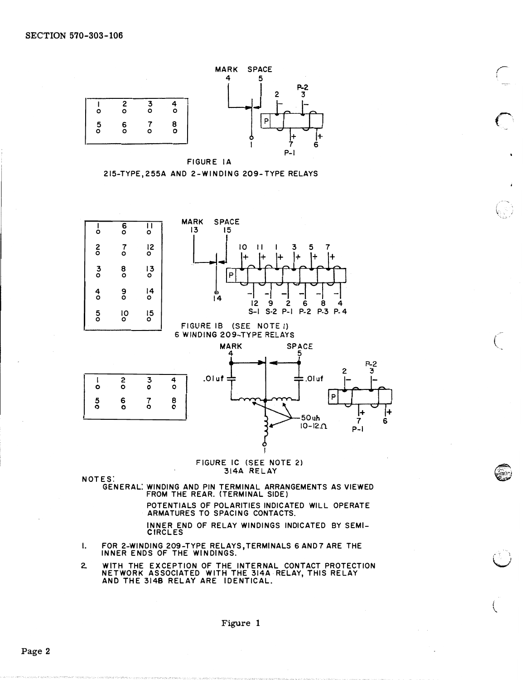

r

 $\bigcap$ 

(

If you have a second the second term in the second term in the second term in the second term in the second ter

 $\left($ 





### FIGURE IC (SEE NOTE 2) 314A RELAY

NO TES:

GENERAL: WINDING AND PIN TERMINAL ARRANGEMENTS AS VIEWED FROM THE REAR. (TERMINAL SIDE)

> PO TENTIALS OF POLARITIES INDIC ATED WILL OPERATE ARMATURES TO SPACING CONTACTS.

 $P-I$ 

INNER END OF RELAY WINDINGS INDICATED BY SEMI-**CIRCLES** 

- I. FOR 2-WINDING 209-TYPE RELAYS, TERMINALS 6 AND7 ARE THE INNER E NDS OF THE WINDINGS.
- 2. WITH THE EXCEPTION OF THE INTERNAL CONTACT PROTECTION NE TWORK ASSOCIATED WITH THE 314A RELAY, THIS RELAY AND THE 3148 RELAY ARE IDENTICAL.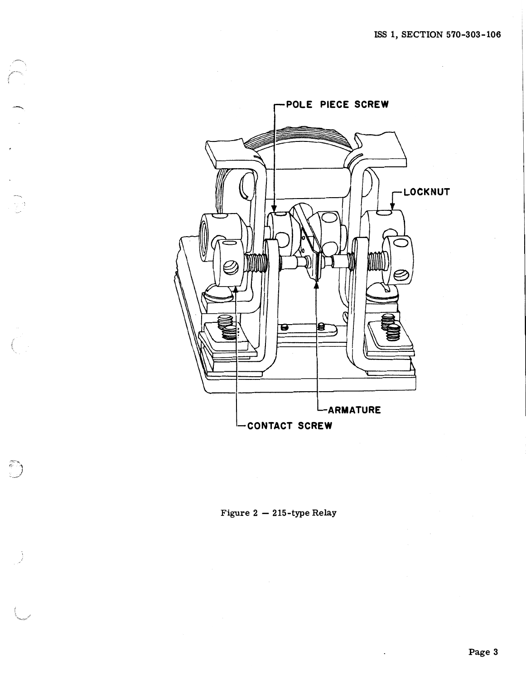

--"'-

 $\overline{\phantom{a}}$ 

---,

 $\bigcup$ 

Figure  $2 - 215$ -type Relay

 $\ddot{\phantom{a}}$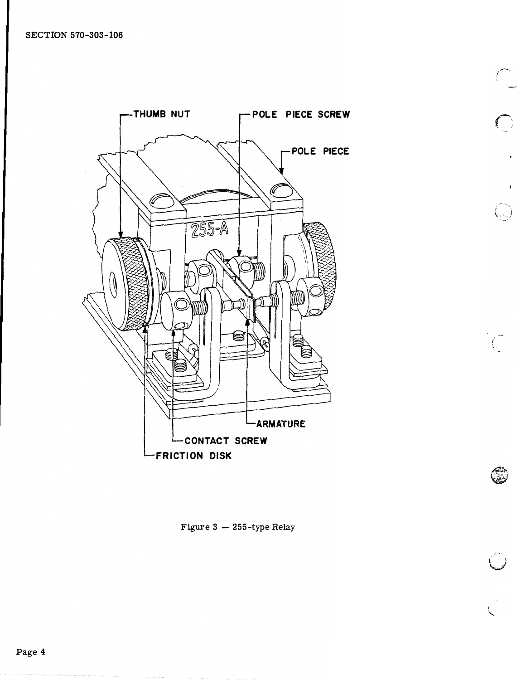

 $\curvearrowright$ 

 $\left($   $\right)$ ,

> . �

u

.<br>م

Figure  $3 - 255$ -type Relay

 $\sim$   $\sim$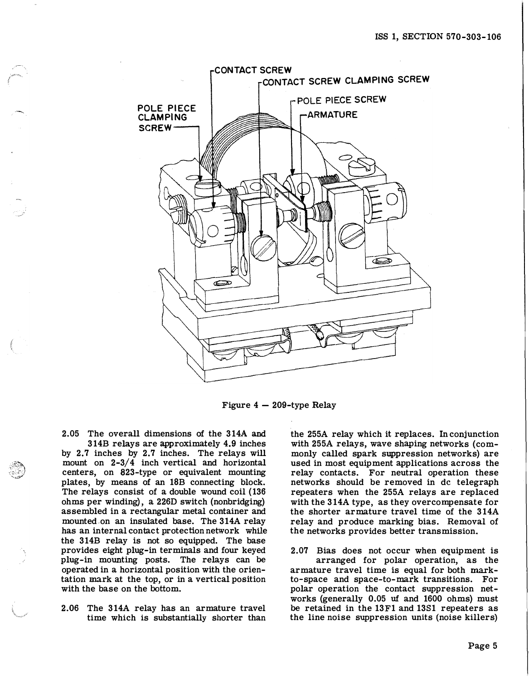

Figure  $4 - 209$ -type Relay

2.05 The overall dimensions of the 314A and 314B relays are approximately 4.9 inches

--

by 2.7 inches by 2.7 inches. The relays will mount on 2-3/4 inch vertical and horizontal centers, on 823-type or equivalent mounting plates, by means of an 18B connecting block. The relays consist of a double wound coil (136 ohms per winding), a 226D switch (nonbridging) assembled in a rectangular metal container and mounted on an insulated base. The 314A relay has an internal contact protection network while the 314B relay is not so equipped. The base provides eight plug-in terminals and four keyed plug-in mounting posts. The relays can be operated in a horizontal position with the orientation mark at the top, or in a vertical position with the base on the bottom.

2.06 The 314A relay has an armature travel time which is substantially shorter than the 255A relay which it replaces. In conjunction with 255A relays, wave shaping networks (commonly called spark suppression networks) are used in most equipment applications across the relay contacts. For neutral operation these networks should be removed in de telegraph repeaters when the 255A relays are replaced with the 314A type, as they overcompensate for the shorter armature travel time of the 314A relay and produce marking bias. Removal of the networks provides better transmission.

2.07 Bias does not occur when equipment is arranged for polar operation, as the armature travel time is equal for both markto-space and space-to-mark transitions. For polar operation the contact suppression networks (generally 0.05 uf and 1600 ohms) must be retained in the 13F1 and 1381 repeaters as the line noise suppression units (noise killers)